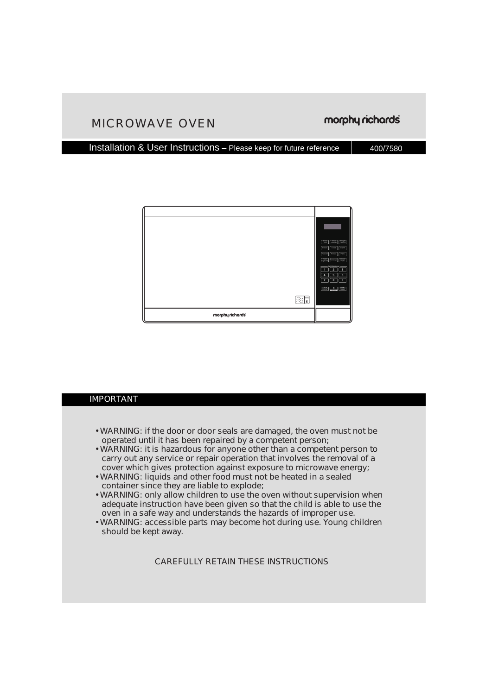### MICROWAVE OVEN

#### Installation & User Instructions – Please keep for future reference 400/7580



#### IMPORTANT

- WARNING: if the door or door seals are damaged, the oven must not be operated until it has been repaired by a competent person;
- WARNING: it is hazardous for anyone other than a competent person to carry out any service or repair operation that involves the removal of a cover which gives protection against exposure to microwave energy;
- WARNING: liquids and other food must not be heated in a sealed container since they are liable to explode;
- WARNING: only allow children to use the oven without supervision when adequate instruction have been given so that the child is able to use the oven in a safe way and understands the hazards of improper use.
- WARNING: accessible parts may become hot during use. Young children should be kept away.

CAREFULLY RETAIN THESE INSTRUCTIONS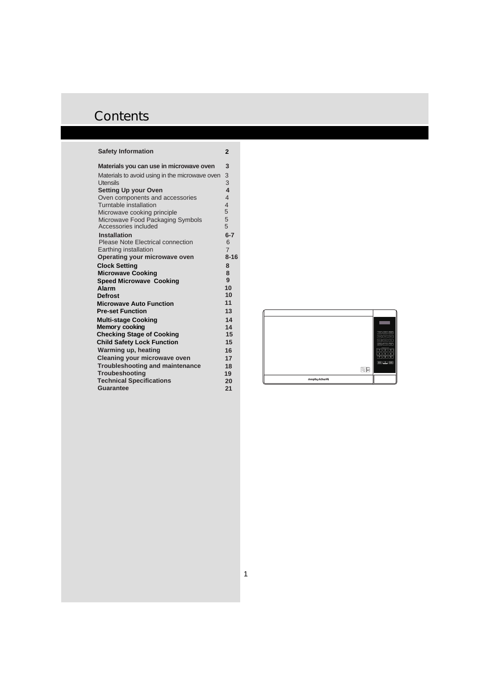#### **Safety Information**

| Materials you can use in microwave oven                  | 3                       |
|----------------------------------------------------------|-------------------------|
| Materials to avoid using in the microwave oven           | 3                       |
| <b>Utensils</b>                                          | 3                       |
| <b>Setting Up your Oven</b>                              | $\overline{\mathbf{4}}$ |
| Oven components and accessories                          | $\overline{4}$          |
| Turntable installation                                   | $\overline{4}$          |
| Microwave cooking principle                              | 5                       |
| Microwave Food Packaging Symbols<br>Accessories included | 5<br>5                  |
|                                                          |                         |
| Installation<br>Please Note Electrical connection        | $6 - 7$<br>6            |
| Earthing installation                                    | $\overline{7}$          |
| Operating your microwave oven                            | $8 - 16$                |
| <b>Clock Setting</b>                                     | 8                       |
| <b>Microwave Cooking</b>                                 | 8                       |
| <b>Speed Microwave Cooking</b>                           | 9                       |
| Alarm                                                    | 10                      |
| <b>Defrost</b>                                           | 10                      |
| <b>Microwave Auto Function</b>                           | 11                      |
| <b>Pre-set Function</b>                                  | 13                      |
| <b>Multi-stage Cooking</b>                               | 14                      |
| <b>Memory cooking</b>                                    | 14                      |
| <b>Checking Stage of Cooking</b>                         | 15                      |
| <b>Child Safety Lock Function</b>                        | 15                      |
| Warming up, heating                                      | 16                      |
| Cleaning your microwave oven                             | 17                      |
| <b>Troubleshooting and maintenance</b>                   | 18                      |
| <b>Troubeshooting</b>                                    | 19                      |
| <b>Technical Specifications</b>                          | 20                      |
| Guarantee                                                | 21                      |
|                                                          |                         |

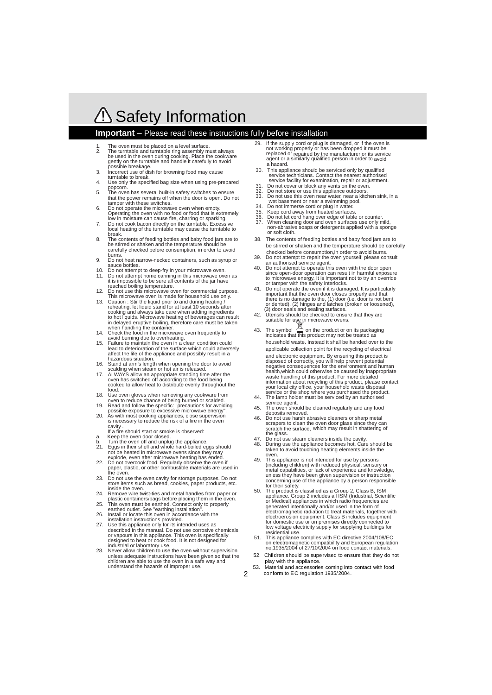# △ Safety Information

#### **Important** – Please read these instructions fully before installation

- 1. The oven must be placed on a level surface.<br>2. The turntable and turntable ring assembly m
- The turntable and turntable ring assembly must always be used in the oven during cooking. Place the cookware gently on the turntable and handle it carefully to avoid possible breakage.<br>Incorrect use of dis-
- 3. Incorrect use of dish for browning food may cause turntable to break.<br>4. Use only the spec
- Use only the specified bag size when using pre-prepared
- popcorn. 5. The oven has several built-in safety switches to ensure that the power remains off when the door is open. Do not tamper with these switches.<br>6 Do not operate the microwa
- Do not operate the microwave oven when empty. Operating the oven with no food or food that is extremely low in moisture can cause fire, charring or sparking.<br>7 Do not cook bacon directly on the turntable Excess
- Do not cook bacon directly on the turntable. Excessive local heating of the turntable may cause the turntable to break<br>8 The C
- 8. The contents of feeding bottles and baby food jars are to be stirred or shaken and the temperature should be carefully checked before consumption, in order to avoid burns.<br>9 Do no
- 9. Do not heat narrow-necked containers, such as syrup or sauce bottles.
- 10. Do not attempt to deep-fry in your microwave oven.<br>11. Do not attempt home canning in this microwave over
- Do not attempt home canning in this microwave oven as it is impossible to be sure all contents of the jar have reached boiling temperature.<br>12. Do not use this microwaye of
- Do not use this microwave oven for commercial purpose. This microwave oven is made for household use only.<br>13. Caution: Stir the liquid prior to and during heating /
- Caution : Stir the liquid prior to and during heating / reheating, let liquid stand for at least 10 seconds after cooking and always take care when adding ingredients to hot liquids. Microwave heating of beverages can result in delayed eruptive boiling, therefore care must be taken when handling the container.<br>14 Check the food in the microw
- Check the food in the microwave oven frequently to avoid burning due to overheating.<br>15. Failure to maintain the oven in a
- Failure to maintain the oven in a clean condition could lead to deterioration of the surface which could adversely affect the life of the appliance and possibly result in a hazardous situation.<br>16 Stand at arm's lengt
- Stand at arm's length when opening the door to avoid
- scalding when steam or hot air is released. 17. ALWAYS allow an appropriate standing time after the oven has switched off according to the food being cooked to allow heat to distribute evenly throughout the food.<br>18 Lise
- 188. Use oven gloves when removing any cookware from For the covered to reduce chance of being burned or scalded.<br>
Read and follow the specific: "precautions for avoid
- Read and follow the specific: "precautions for avoiding possible exposure to excessive microwave energy".<br>20 As with most cooking appliances, close supervision
- is necessary to reduce the risk of a fire in the oven cavity. As with most cooking appliances, close supervision
- If a fire should start or smoke is observed:<br>B. Keep the oven door closed Keep the oven door closed.
- 
- b. Turn the oven off and unplug the appliance. 21. Eggs in their shell and whole hard-boiled eggs should not be heated in microwave ovens since they may explode, even after microwave heating has ended.
- 22. Do not overcook food. Regularly observe the oven if paper, plastic, or other combustible materials are used in the oven.
- 23. Do not use the oven cavity for storage purposes. Do not store items such as bread, cookies, paper products, etc. inside the oven.<br>24. Remove wire tw
- Remove wire twist-ties and metal handles from paper or plastic containers/bags before placing them in the oven.
- 25. This oven must be earthed. Connect only to properly earthed outlet. See "earthing installation".<br>
26 Install or locate this oven in accordance
- 26. Install or locate this oven in accordance with the installation instructions provided. 27. Use this appliance only for its intended uses as
- described in the manual. Do not use corrosive chemicals or vapours in this appliance. This oven is specifically designed to heat or cook food. It is not designed for industrial or laboratory use.
- Never allow children to use the oven without supervision unless adequate instructions have been given so that the children are able to use the oven in a safe way and understand the hazards of improper use.
- 29. If the supply cord or plug is damaged, or if the oven is not working properly or has been dropped it must be replaced or repaired by the manufacturer or its service agent or a similarly qualified person in order to avoid a hazard.
- 30. This appliance should be serviced only by qualified service technicians. Contact the nearest authorised service facility for examination, repair or adjustment.<br>31 Do not cover or block any vents on the oven
- 31. Do not cover or block any vents on the oven.<br>32. Do not store or use this appliance outdoors.
- 32. Do not store or use this appliance outdoors.
- 33. Do not use this oven near water, near a kitchen sink, in a wet basement or near a swimming pool.
- 34. Do not immerse cord or plug in water.<br>35. Keep cord away from heated surfaces
- 
- 35. Keep cord away from heated surfaces. 36. Do not let cord hang over edge of table or counter.
- 37. When cleaning door and oven surfaces use only mild, non-abrasive soaps or detergents applied with a sponge or soft cloth.
- 38. The contents of feeding bottles and baby food jars are to be stirred or shaken and the temperature should be carefully checked before consumption,in order to avoid burns.
- 39. Do not attempt to repair the oven yourself, please consult
- an authorised service agent.<br>40 Do not attempt to operate this Do not attempt to operate this oven with the door open since open-door operation can result in harmful exposure to microwave energy. It is important not to try an override or tamper with the safety interlocks.
- 41. Do not operate the oven if it is damaged. It is particularly important that the oven door closes properly and that there is no damage to the, (1) door (i.e. door is not bent or dented), (2) hinges and latches (broken or loosened),
- (3) door seals and sealing surfaces. 42. Utensils should be checked to ensure that they are suitable for use in microwave ovens.
- 43. The symbol  $\frac{180}{100}$  on the product or on its packaging indicates that this product may not be treated as household waste. Instead it shall be handed over to the applicable collection point for the recycling of electrical and electronic equipment. By ensuring this product is disposed of correctly, you will help prevent potential negative consequences for the environment and human health,which could otherwise be caused by inappropriate waste handling of this product. For more detailed information about recycling of this product, please contact your local city office, your household waste disposal service or the shop where you purchased the product.
- 44. The lamp holder must be serviced by an authorised service agent.<br>45 The oven sho
- The oven should be cleaned regularly and any food deposits removed.
- Do not use harsh abrasive cleaners or sharp metal scrapers to clean the oven door glass since they can scratch the surface, which may result in shattering of the glass.
- 47. Do not use steam cleaners inside the cavity.<br>48. During use the appliance becomes hot Care
- 48. During use the appliance becomes hot. Care should be taken to avoid touching heating elements inside the oven.<br>49 This:
- 49. This appliance is not intended for use by persons (including children) with reduced physical, sensory or metal capabilities, or lack of experience and knowledge, unless they have been given supervision or instruction concerning use of the appliance by a person responsible for their safety.
- 50. The product is classified as a Group 2, Class B, ISM appliance. Group 2 includes all ISM (Industrial, Scientific or Medical) appliances in which radio frequencies are generated intentionally and/or used in the form of electromagnetic radiation to treat materials, together with electroerosion equipment. Class B includes equipment for domestic use or on premises directly connected to low voltage electricity supply for supplying buildings for residential use.
- This appliance complies with EC directive 2004/108/EC on electromagnetic compatibility and European regulation no.1935/2004 of 27/10/2004 on food contact materials.
- 52. Children should be supervised to ensure that they do not play with the appliance.
- 53. Material and accessories coming into contact with food conform to EC regulation 1935/2004.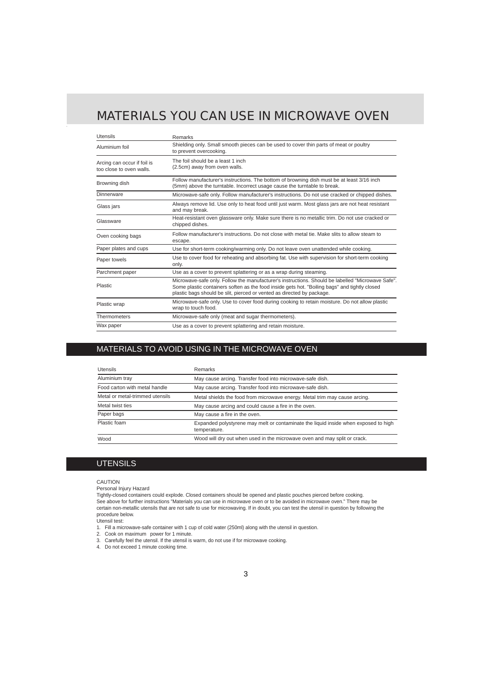## MATERIALS YOU CAN USE IN MICROWAVE OVEN

| <b>Utensils</b>                                         | Remarks                                                                                                                                                                                                                                                                      |
|---------------------------------------------------------|------------------------------------------------------------------------------------------------------------------------------------------------------------------------------------------------------------------------------------------------------------------------------|
| Aluminium foil                                          | Shielding only. Small smooth pieces can be used to cover thin parts of meat or poultry<br>to prevent overcooking.                                                                                                                                                            |
| Arcing can occur if foil is<br>too close to oven walls. | The foil should be a least 1 inch<br>(2.5cm) away from oven walls.                                                                                                                                                                                                           |
| Browning dish                                           | Follow manufacturer's instructions. The bottom of browning dish must be at least 3/16 inch<br>(5mm) above the turntable. Incorrect usage cause the turntable to break.                                                                                                       |
| Dinnerware                                              | Microwave-safe only. Follow manufacturer's instructions. Do not use cracked or chipped dishes.                                                                                                                                                                               |
| Glass jars                                              | Always remove lid. Use only to heat food until just warm. Most glass jars are not heat resistant<br>and may break.                                                                                                                                                           |
| Glassware                                               | Heat-resistant oven glassware only. Make sure there is no metallic trim. Do not use cracked or<br>chipped dishes.                                                                                                                                                            |
| Oven cooking bags                                       | Follow manufacturer's instructions. Do not close with metal tie. Make slits to allow steam to<br>escape.                                                                                                                                                                     |
| Paper plates and cups                                   | Use for short-term cooking/warming only. Do not leave oven unattended while cooking.                                                                                                                                                                                         |
| Paper towels                                            | Use to cover food for reheating and absorbing fat. Use with supervision for short-term cooking<br>only.                                                                                                                                                                      |
| Parchment paper                                         | Use as a cover to prevent splattering or as a wrap during steaming.                                                                                                                                                                                                          |
| Plastic                                                 | Microwave-safe only. Follow the manufacturer's instructions. Should be labelled "Microwave Safe".<br>Some plastic containers soften as the food inside gets hot. "Boiling bags" and tightly closed<br>plastic bags should be slit, pierced or vented as directed by package. |
| Plastic wrap                                            | Microwave-safe only. Use to cover food during cooking to retain moisture. Do not allow plastic<br>wrap to touch food.                                                                                                                                                        |
| Thermometers                                            | Microwave-safe only (meat and sugar thermometers).                                                                                                                                                                                                                           |
| Wax paper                                               | Use as a cover to prevent splattering and retain moisture.                                                                                                                                                                                                                   |

### MATERIALS TO AVOID USING IN THE MICROWAVE OVEN

| <b>Utensils</b>                 | Remarks                                                                                             |  |
|---------------------------------|-----------------------------------------------------------------------------------------------------|--|
| Aluminium tray                  | May cause arcing. Transfer food into microwave-safe dish.                                           |  |
| Food carton with metal handle   | May cause arcing. Transfer food into microwave-safe dish.                                           |  |
| Metal or metal-trimmed utensils | Metal shields the food from microwave energy. Metal trim may cause arcing.                          |  |
| Metal twist ties                | May cause arcing and could cause a fire in the oven.                                                |  |
| Paper bags                      | May cause a fire in the oven.                                                                       |  |
| Plastic foam                    | Expanded polystyrene may melt or contaminate the liquid inside when exposed to high<br>temperature. |  |
| Wood                            | Wood will dry out when used in the microwave oven and may split or crack.                           |  |

#### **UTENSILS**

#### CAUTION

Personal Injury Hazard

Tightly-closed containers could explode. Closed containers should be opened and plastic pouches pierced before cooking. See above for further instructions "Materials you can use in microwave oven or to be avoided in microwave oven." There may be certain non-metallic utensils that are not safe to use for microwaving. If in doubt, you can test the utensil in question by following the procedure below.

Utensil test:

- 1. Fill a microwave-safe container with 1 cup of cold water (250ml) along with the utensil in question.
- 2. Cook on maximum power for 1 minute.
- 3. Carefully feel the utensil. If the utensil is warm, do not use if for microwave cooking.
- 4. Do not exceed 1 minute cooking time.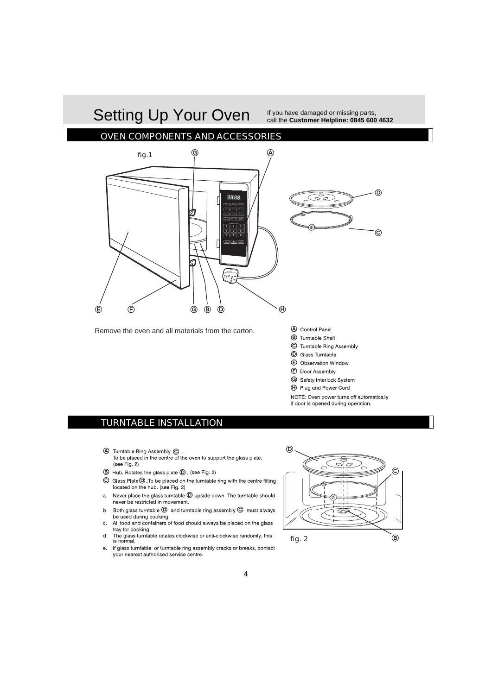# Setting Up Your Oven Fyou have damaged or missing parts, Setting Up Your Oven call the **Customer Helpline: 0845 600 4632**

### OVEN COMPONENTS AND ACCESSORIES



Remove the oven and all materials from the carton.

- A Control Panel
- (B) Turntable Shaft
- C Turntable Ring Assembly
- (D) Glass Turntable
- (E) Observation Window
- (F) Door Assembly
- **G** Safety Interlock System
- (A) Plug and Power Cord

NOTE: Oven power turns off automatically if door is opened during operation.

### TURNTABLE INSTALLATION

- 4 Turntable Ring Assembly C . To be placed in the centre of the oven to support the glass plate, (see Fig. 2)
- **B** Hub. Rotates the glass plate **D**, (see Fig. 2)
- $\copyright$  Glass Plate $\copyright$  . To be placed on the turntable ring with the centre fitting located on the hub. (see Fig. 2)
- a. Never place the glass turntable  $\textcircled{D}$  upside down. The turntable should never be restricted in movement.
- b. Both glass turntable  $\overline{D}$  and turntable ring assembly  $\overline{C}$  must always be used during cooking.
- c. All food and containers of food should always be placed on the glass trav for cooking.
- $\mathsf{d}$ The glass turntable rotates clockwise or anti-clockwise randomly, this is normal
- e. If glass turntable or turntable ring assembly cracks or breaks, contact your nearest authorised service centre.

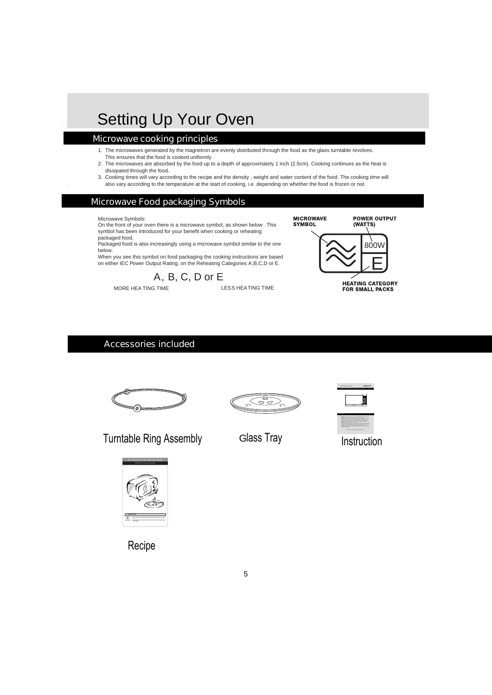# Setting Up Your Oven

### Microwave cooking principles

- 1. The microwaves generated by the magnetron are evenly distributed through the food as the glass turntable revolves. This ensures that the food is cooked uniformly.
- 2. The microwaves are absorbed by the food up to a depth of approximately 1 inch (2.5cm). Cooking continues as the heat is dissipated through the food.
- 3. Cooking times will vary according to the recipe and the density , weight and water content of the food. The cooking time will also vary according to the temperature at the start of cooking, i.e. depending on whether the food is frozen or not.

### Microwave Food packaging Symbols

Microwave Symbols:

On the front of your oven there is a microwave symbol, as shown below . This symbol has been introduced for your benefit when cooking or reheating packaged food.

Packaged food is also increasingly using a microwave symbol similar to the one below.

When you see this symbol on food packaging the cooking instructions are based on either IEC Power Output Rating, on the Reheating Categories A,B,C,D or E.



MORE HEA TING TIME **LESS HEATING TIME** 



### Accessories included









Turntable Ring Assembly Glass Tray Instruction



Recipe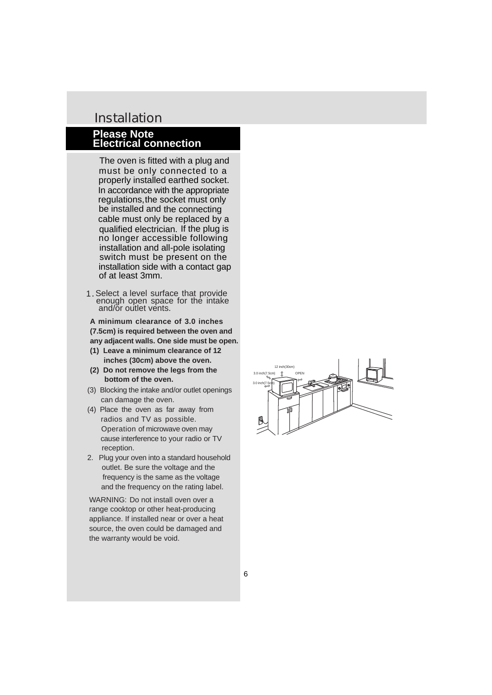### Installation

### **Please Note Electrical connection**

The oven is fitted with a plug and must be only connected to a In accordance with the appropriate regulations, the socket must only qualified electrician. If the plug is switch must be present on the installation side with a contact gap properly installed earthed socket. be installed and the connecting cable must only be replaced by a no longer accessible following installation and all-pole isolating of at least 3mm.

 enough open space for the intake 1. Select a level surface that provide and/ŏr outlet vents.

**A minimum clearance of 3.0 inches (7.5cm) is required between the oven and any adjacent walls. One side must be open.**

- **(1) Leave a minimum clearance of 12 inches (30cm) above the oven.**
- **(2) Do not remove the legs from the bottom of the oven.**
- (3) Blocking the intake and/or outlet openings can damage the oven.
- (4) Place the oven as far away from radios and TV as possible. Operation of microwave oven may cause interference to your radio or TV reception.
- 2. Plug your oven into a standard household outlet. Be sure the voltage and the frequency is the same as the voltage and the frequency on the rating label.

WARNING: Do not install oven over a range cooktop or other heat-producing appliance. If installed near or over a heat source, the oven could be damaged and the warranty would be void.

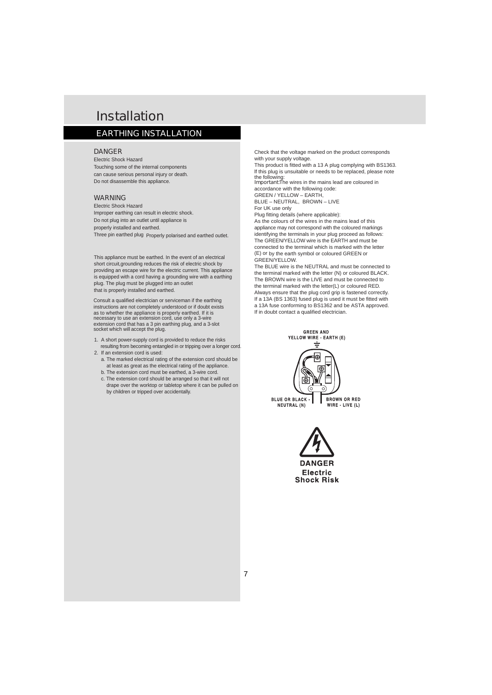## Installation

### EARTHING INSTALLATION

#### **DANGER**

Electric Shock Hazard Touching some of the internal components can cause serious personal injury or death. Do not disassemble this appliance.

#### WARNING

Electric Shock Hazard Improper earthing can result in electric shock. Do not plug into an outlet until appliance is properly installed and earthed. Three pin earthed plug Properly polarised and earthed outlet.

This appliance must be earthed. In the event of an electrical that is properly installed and earthed. short circuit,grounding reduces the risk of electric shock by providing an escape wire for the electric current. This appliance is equipped with a cord having a grounding wire with a earthing plug. The plug must be plugged into an outlet

Consult a qualified electrician or serviceman if the earthing necessary to use an extension cord, use only a 3-wire extension cord that has a 3 pin earthing plug, and a 3-slot socket which will accept the plug. instructions are not completely understood or if doubt exists as to whether the appliance is properly earthed. If it is

- 1. A short power-supply cord is provided to reduce the risks resulting from becoming entangled in or tripping over a longer cord.
- 2. If an extension cord is used:
	- a. The marked electrical rating of the extension cord should be at least as great as the electrical rating of the appliance.
	- b. The extension cord must be earthed, a 3-wire cord.
	- c. The extension cord should be arranged so that it will not drape over the worktop or tabletop where it can be pulled on by children or tripped over accidentally.

Check that the voltage marked on the product corresponds with your supply voltage.

This product is fitted with a 13 A plug complying with BS1363. lf this plug is unsuitable or needs to be replaced, please note the following:

Important: The wires in the mains lead are coloured in GREEN / YELLOW – EARTH, accordance with the following code:

BLUE – NEUTRAL, BROWN – LIVE For UK use only

Plug fitting details (where applicable): As the colours of the wires in the mains lead of this The GREEN/YELLOW wire is the EARTH and must be identifying the terminals in your plug proceed as follows: appliance may not correspond with the coloured markings GREEN/YELLOW. connected to the terminal which is marked with the letter (E) or by the earth symbol or coloured GREEN or

The BLUE wire is the NEUTRAL and must be connected to The BROWN wire is the LIVE and must be connected to Always ensure that the plug cord grip is fastened correctly. If a 13A (BS 1363) fused plug is used it must be fitted with If in doubt contact a qualified electrician. the terminal marked with the letter (N) or coloured BLACK. the terminal marked with the letter(L) or coloured RED. a 13A fuse conforming to BS1362 and be ASTA approved.



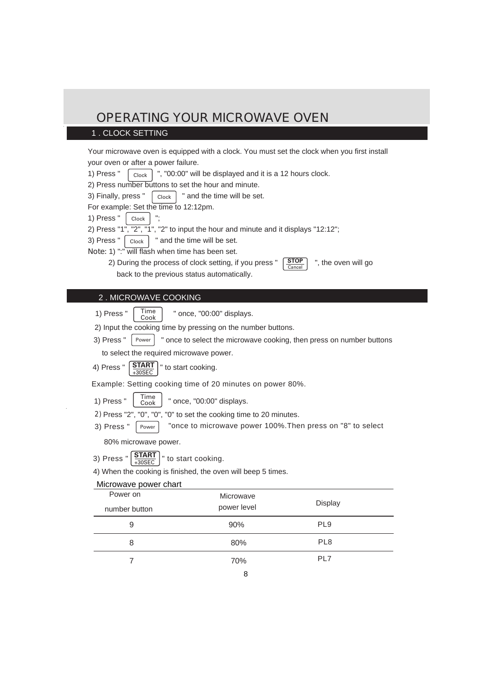#### 1 . CLOCK SETTING

Your microwave oven is equipped with a clock. You must set the clock when you first install your oven or after a power failure.

1) Press "  $\left[$  Clock  $\right]$  ", "00:00" will be displayed and it is a 12 hours clock.

2) Press number buttons to set the hour and minute.

3) Finally, press "  $\vert$  clock  $\vert$  " and the time will be set. Clock

For example: Set the time to 12:12pm.

- 1) Press " Clock
- 2) Press "1", "2", "1", "2" to input the hour and minute and it displays "12:12";
- 3) Press "  $\vert$  clock  $\vert$  " and the time will be set. Clock |
- Note: 1) ":" will flash when time has been set.
	- 2) During the process of clock setting, if you press "  $\frac{1}{2}$   $\frac{1}{2}$   $\frac{1}{2}$   $\frac{1}{2}$  the oven will go back to the previous status automatically.

### Time 2 . MICROWAVE COOKING

Cook

1) Press "  $\left| \right|$  Time  $\left| \right|$  " once, "00:00" displays.

2) Input the cooking time by pressing on the number buttons.

3) Press " " once to select the microwave cooking, then press on number buttons Power

**STOP** Cancel

to select the required microwave power.

4) Press "  $\vert$  START  $\vert$  " to start cooking. **START** +30SEC

Example: Setting cooking time of 20 minutes on power 80%.

- 1) Press "  $\int_{\text{Cook}}^{\text{time}}$  " once, "00:00" displays. Time Cook
- 2) Press "2", "0", "0", "0" to set the cooking time to 20 minutes.
- 3) Press "  $\boxed{\text{Power}}$  "once to microwave power 100%. Then press on "8" to select Power

80% microwave power.

3) Press "  $\left[\frac{\text{START}}{\text{SOSEC}}\right]$  " to start cooking. +30SEC

4) When the cooking is finished, the oven will beep 5 times.

#### Microwave power chart

| Power on<br>number button | Microwave<br>power level | Display         |
|---------------------------|--------------------------|-----------------|
| 9                         | 90%                      | PL <sub>9</sub> |
| 8                         | 80%                      | PL <sub>8</sub> |
|                           | 70%                      | PL7             |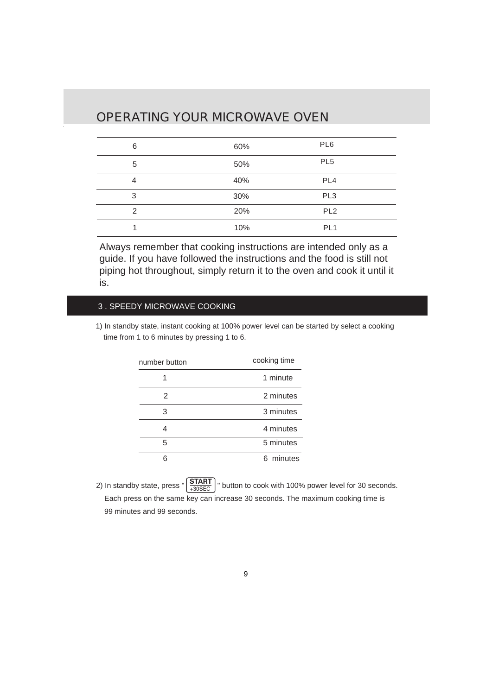| 6 | 60% | PL <sub>6</sub> |  |
|---|-----|-----------------|--|
| 5 | 50% | PL <sub>5</sub> |  |
| 4 | 40% | PL <sub>4</sub> |  |
| 3 | 30% | PL <sub>3</sub> |  |
| 2 | 20% | PL <sub>2</sub> |  |
|   | 10% | PL <sub>1</sub> |  |

Always remember that cooking instructions are intended only as a guide. If you have followed the instructions and the food is still not piping hot throughout, simply return it to the oven and cook it until it is.

#### 3 . SPEEDY MICROWAVE COOKING

1) In standby state, instant cooking at 100% power level can be started by select a cooking time from 1 to 6 minutes by pressing 1 to 6.

| number button | cooking time |
|---------------|--------------|
|               | 1 minute     |
| 2             | 2 minutes    |
| 3             | 3 minutes    |
| 4             | 4 minutes    |
| 5             | 5 minutes    |
|               | 6 minutes    |

 Each press on the same key can increase 30 seconds. The maximum cooking time is 99 minutes and 99 seconds. 2) In standby state, press "  $\frac{|\text{START}|}{4.305}$   $\frac{|\text{Output}|}{|\text{Output}|}$  button to cook with 100% power level for 30 seconds. +30SEC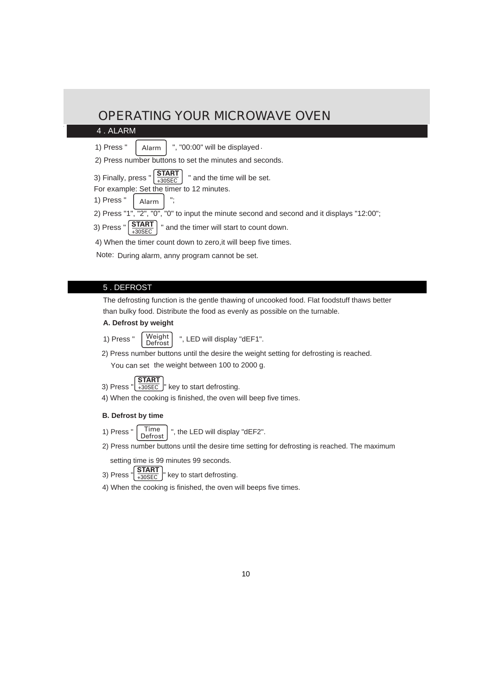#### 4 . ALARM

- 1) Press "  $\vert$  Alarm  $\vert$  ", "00:00" will be displayed . Alarm
- 2) Press number buttons to set the minutes and seconds.
- 3) Finally, press "  $\frac{31481}{23055}$   $\frac{1}{2}$  and the time will be set. **START** +30SEC
- For example: Set the timer to 12 minutes.
- 1) Press " Alarm
- 2) Press "1", "2", "0", "0" to input the minute second and second and it displays "12:00";
- **START** 3) Press  $\sqrt[n]{\frac{31}{4305}}$  and the timer will start to count down.
- 4) When the timer count down to zero,it will beep five times.

Note: During alarm, anny program cannot be set.

#### 5 . DEFROST

The defrosting function is the gentle thawing of uncooked food. Flat foodstuff thaws better than bulky food. Distribute the food as evenly as possible on the turnable.

#### **A. Defrost by weight**

- 1) Press "  $\left\lfloor \frac{Weight}{} \right\rfloor$  ", LED will display "dEF1". **Weight Defrost**
- 2) Press number buttons until the desire the weight setting for defrosting is reached.

You can set the weight between 100 to 2000 g.

- 3) Press " $\left(\frac{\text{START}}{+30 \text{SEC}}\right)$ " key to start defrosting. +30SEC
- 4) When the cooking is finished, the oven will beep five times.

#### **B. Defrost by time**

- 1) Press " $\int_{0}^{\pi}$  Time  $\int_{0}^{\pi}$  ", the LED will display "dEF2". Time Defrost
- 2) Press number buttons until the desire time setting for defrosting is reached. The maximum

setting time is 99 minutes 99 seconds.

- 3) Press  $\frac{3}{4}$   $\frac{3}{4}$   $\frac{1}{20}$   $\frac{1}{20}$  key to start defrosting. **START** +30SEC
- 4) When the cooking is finished, the oven will beeps five times.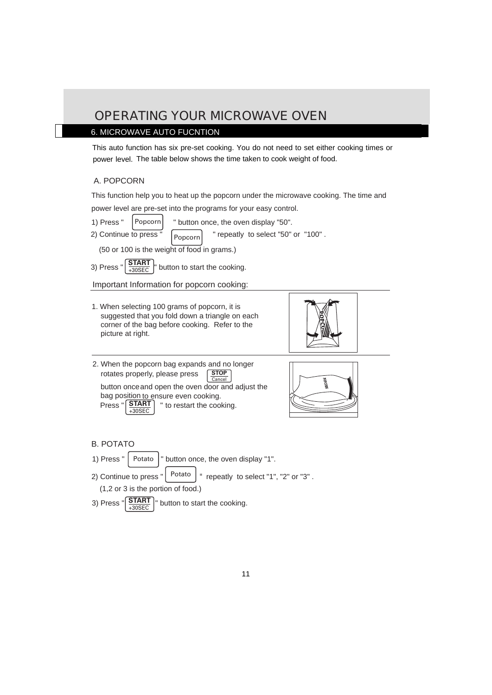#### 6. MICROWAVE AUTO FUCNTION

This auto function has six pre-set cooking. You do not need to set either cooking times or power level. The table below shows the time taken to cook weight of food.

#### A. POPCORN

power level are pre-set into the programs for your easy control. This function help you to heat up the popcorn under the microwave cooking. The time and

- 1) Press "  $|$  Popcorn  $|$  " button once, the oven display "50". Popcorn
- 2) Continue to press " Popcorn " repeatly to select "50" or "100" .

(50 or 100 is the weight of food in grams.)

3) Press "  $\frac{SIAH}{SOSEC}$  " button to start the cooking. **START** +30SEC

Important Information for popcorn cooking:

1. When selecting 100 grams of popcorn, it is suggested that you fold down a triangle on each corner of the bag before cooking. Refer to the picture at right.



 rotates properly, please press button onceand open the oven door and adjust the bag position to ensure even cooking. **STOP** Cancel 2. When the popcorn bag expands and no longer

 $+30$ SEC

Press " **START** = " to restart the cooking.



- B. POTATO
- 1) Press " | Potato | " button once, the oven display "1". Potato
- 2) Continue to press " " Potato repeatly to select "1", "2" or "3" .

(1,2 or 3 is the portion of food.)

3) Press " $\frac{START}{T}$  button to start the cooking. **START** +30SEC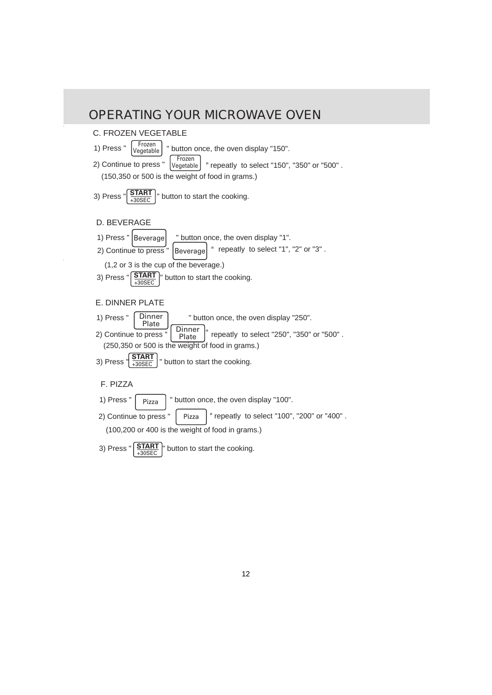#### 2) Continue to press " 3) Press " $\frac{START}{T}$  button to start the cooking. " 1) Press "  $|$  Beverage  $|$  " button once, the oven display "1". (1,2 or 3 is the cup of the beverage.) 2) Continue to press " 3) Press  $\frac{3!A_{11}}{4305}$  | button to start the cooking. 1) Press "  $\left[$  Dinner  $\right]$  " button once, the oven display "250". " (250,350 or 500 is the weight of food in grams.) 2) Continue to press " 1) Press " " button once, the oven display "100". Pizza (100,200 or 400 is the weight of food in grams.) Beverage Dinner Plate **START** +30SEC **START** +30SEC Beverage **Dinner** Plate Pizza D. BEVERAGE E. DINNER PLATE F. PIZZA repeatly to select "1", "2" or "3" . repeatly to select "250", "350" or "500" . " repeatly to select "100", "200" or "400" . 2) Continue to press " 3) Press " $\frac{31AB1}{20056}$  " button to start the cooking. 1) Press "  $\left| \frac{r}{\sqrt{2\pi}} \right|$  " button once, the oven display "150". (150,350 or 500 is the weight of food in grams.) **START** +30SEC Frozen Vegetable Frozen **Vegetable** C. FROZEN VEGETABLE " repeatly to select "150", "350" or "500" .

3) Press "  $\left|\frac{\text{START}}{\text{l}}\right|$  button to start the cooking. **START** +30SEC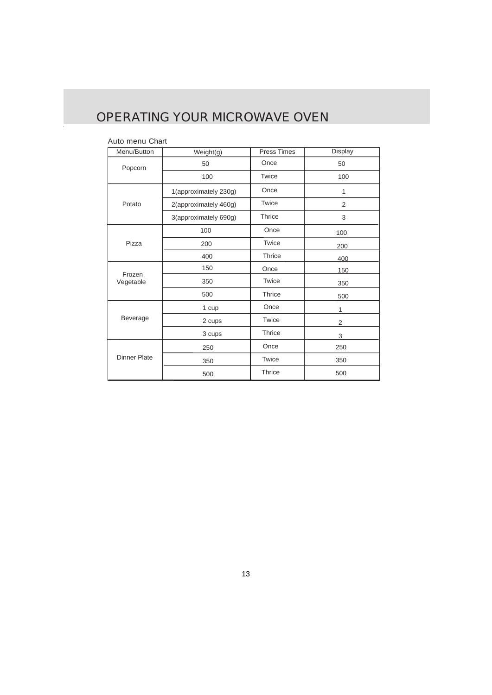#### Auto menu Chart

| Menu/Button         | Weight(g)             | <b>Press Times</b> | Display |
|---------------------|-----------------------|--------------------|---------|
| Popcorn             | 50                    | Once               | 50      |
|                     | 100                   | Twice              | 100     |
|                     | 1(approximately 230g) | Once               | 1       |
| Potato              | 2(approximately 460g) | Twice              | 2       |
|                     | 3(approximately 690g) | Thrice             | 3       |
|                     | 100                   | Once               | 100     |
| Pizza               | 200                   | Twice              | 200     |
|                     | 400                   | Thrice             | 400     |
| Frozen              | 150                   | Once               | 150     |
| Vegetable           | 350                   | Twice              | 350     |
|                     | 500                   | Thrice             | 500     |
|                     | 1 cup                 | Once               | 1       |
| Beverage            | 2 cups                | Twice              | 2       |
|                     | 3 cups                | Thrice             | 3       |
|                     | 250                   | Once               | 250     |
| <b>Dinner Plate</b> | 350                   | Twice              | 350     |
|                     | 500                   | Thrice             | 500     |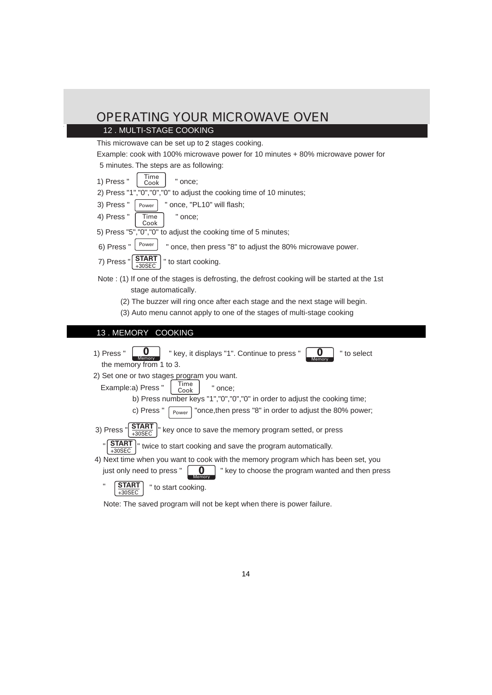#### 12 . MULTI-STAGE COOKING

This microwave can be set up to 2 stages cooking.

Example: cook with 100% microwave power for 10 minutes + 80% microwave power for

- 5 minutes. The steps are as following:
- 1) Press " " once; Time Cook
- 2) Press "1","0","0","0" to adjust the cooking time of 10 minutes;
- " once, "PL10" will flash; 3) Press " Power
- " once; 4) Press " Time Cook
- 5) Press "5","0","0" to adjust the cooking time of 5 minutes;
- 6) Press "  $\vert$  <sup>Power</sup>  $\vert$  " once, then press "8" to adjust the 80% microwave power. Power
- " to start cooking. 7) Press " **START** +30SEC
- Note : (1) If one of the stages is defrosting, the defrost cooking will be started at the 1st stage automatically.
	- (2) The buzzer will ring once after each stage and the next stage will begin.
	- (3) Auto menu cannot apply to one of the stages of multi-stage cooking

### 13 . MEMORY COOKING

1) Press " 2) Set one or two stages program you want. b) Press number keys "1","0","0","0" in order to adjust the cooking time; " 4) Next time when you want to cook with the memory program which has been set, you just only need to press "  $\begin{bmatrix} 0 \\ \end{bmatrix}$  " key to choose the program wanted and then press " to start cooking. Example:a) Press "  $\begin{bmatrix} 1 & 1 \end{bmatrix}$   $\begin{bmatrix} 1 & 1 \end{bmatrix}$  once; c) Press "  $\lceil_{\text{Power}}\rceil$  "once, then press "8" in order to adjust the 80% power; 3) Press  $\frac{1}{2}$  START  $\frac{1}{2}$  key once to save the memory program setted, or press twice to start cooking and save the program automatically. **0** the memory from 1 to 3. Power Time Cook **START** +30SEC y +30SEC **0** Memory **START**  $+30$ SEC " key, it displays "1". Continue to press "  $\vert \quad \mathbf{0} \ \vert$  " to select **0** Memory **START**

Note: The saved program will not be kept when there is power failure.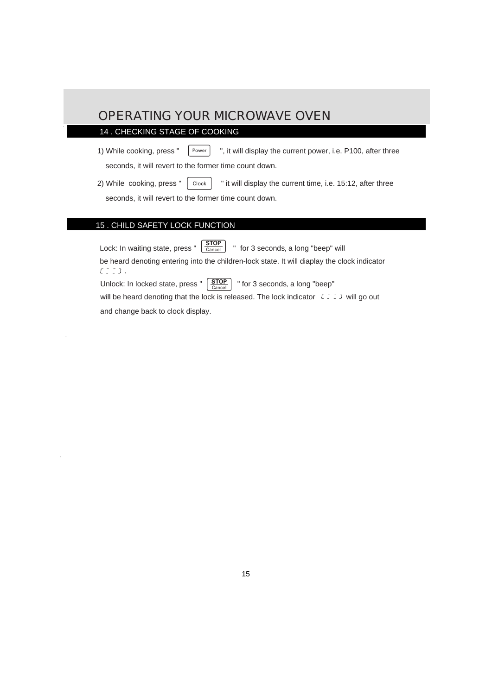#### 14 . CHECKING STAGE OF COOKING

1) While cooking, press "  $\vert$  Power  $\vert$  ", it will display the current power, i.e. P100, after three Power

seconds, it will revert to the former time count down.

2) While cooking, press "  $\vert$  clock  $\vert$  " it will display the current time, i.e. 15:12, after three Clock

seconds, it will revert to the former time count down.

#### 15 . CHILD SAFETY LOCK FUNCTION

Lock: In waiting state, press " " for 3 seconds, a long "beep" will **STOP** Cancel be heard denoting entering into the children-lock state. It will diaplay the clock indicator  $E \subseteq \Box 3$ .

Unlock: In locked state, press "  $\left[\frac{\text{STOP}}{\text{ё} \text{ Proof}} \right]$  " for 3 seconds, a long "beep" **STOP** Cancel will be heard denoting that the lock is released. The lock indicator  $\mathcal{L} \subseteq \mathcal{L}$  will go out and change back to clock display.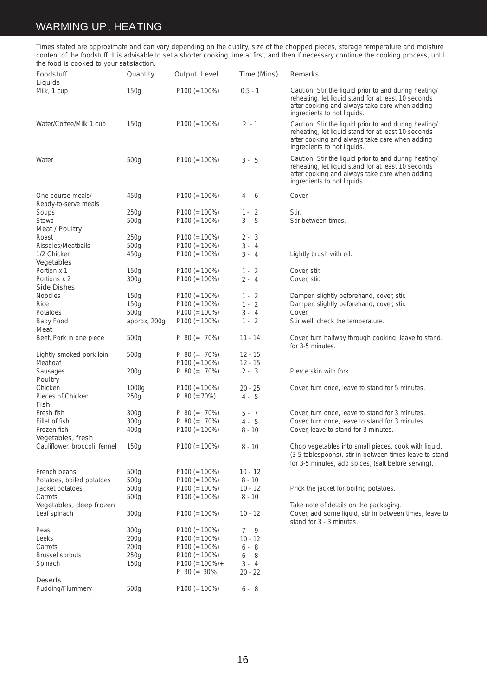#### WARMING UP, HEATING

Times stated are approximate and can vary depending on the quality, size of the chopped pieces, storage temperature and moisture content of the foodstuff. It is advisable to set a shorter cooking time at first, and then if necessary continue the cooking process, until the food is cooked to your satisfaction.

| the tood is cooked to your satisfaction.           |                   |                    |             |                                                                                                                                                                                               |
|----------------------------------------------------|-------------------|--------------------|-------------|-----------------------------------------------------------------------------------------------------------------------------------------------------------------------------------------------|
| Foodstuff<br>Liquids                               | Quantity          | Output Level       | Time (Mins) | Remarks                                                                                                                                                                                       |
| Milk, 1 cup                                        | 150g              | $P100 (= 100\%)$   | $0.5 - 1$   | Caution: Stir the liquid prior to and during heating/<br>reheating, let liquid stand for at least 10 seconds<br>after cooking and always take care when adding<br>ingredients to hot liquids. |
| Water/Coffee/Milk 1 cup                            | 150 <sub>g</sub>  | $P100 (= 100\%)$   | $2. - 1$    | Caution: Stir the liquid prior to and during heating/<br>reheating, let liquid stand for at least 10 seconds<br>after cooking and always take care when adding<br>ingredients to hot liquids. |
| Water                                              | 500 <sub>g</sub>  | $P100 (= 100\%)$   | $3 - 5$     | Caution: Stir the liquid prior to and during heating/<br>reheating, let liquid stand for at least 10 seconds<br>after cooking and always take care when adding<br>ingredients to hot liquids. |
| One-course meals/<br>Ready-to-serve meals          | 450 <sub>g</sub>  | $P100 (= 100\%)$   | $4 - 6$     | Cover.                                                                                                                                                                                        |
| Soups                                              | 250g              | $P100 (= 100\%)$   | $1 - 2$     | Stir.                                                                                                                                                                                         |
| <b>Stews</b>                                       | 500 <sub>g</sub>  | $P100 (= 100\%)$   | $3 - 5$     | Stir between times.                                                                                                                                                                           |
|                                                    |                   |                    |             |                                                                                                                                                                                               |
| Meat / Poultry                                     |                   |                    |             |                                                                                                                                                                                               |
| Roast                                              | 250g              | $P100 (= 100\%)$   | $2 - 3$     |                                                                                                                                                                                               |
| Rissoles/Meatballs                                 | 500 <sub>g</sub>  | $P100 (= 100\%)$   | $3 - 4$     |                                                                                                                                                                                               |
| 1/2 Chicken<br>Vegetables                          | 450 <sub>g</sub>  | $P100 (= 100\%)$   | $3 - 4$     | Lightly brush with oil.                                                                                                                                                                       |
| Portion x 1                                        | 150 <sub>g</sub>  | $P100 (= 100\%)$   | $1 - 2$     | Cover, stir.                                                                                                                                                                                  |
| Portions x 2                                       | 300 <sub>g</sub>  | $P100 (= 100\%)$   | $2 - 4$     | Cover, stir.                                                                                                                                                                                  |
| Side Dishes                                        |                   |                    |             |                                                                                                                                                                                               |
| Noodles                                            | 150 <sub>g</sub>  | $P100 (= 100\%)$   | $1 - 2$     | Dampen slightly beforehand, cover, stir.                                                                                                                                                      |
| Rice                                               | 150 <sub>g</sub>  | $P100 (= 100\%)$   | $1 - 2$     | Dampen slightly beforehand, cover, stir.                                                                                                                                                      |
|                                                    |                   |                    | $3 - 4$     |                                                                                                                                                                                               |
| Potatoes                                           | 500 <sub>g</sub>  | $P100 (= 100\%)$   |             | Cover.                                                                                                                                                                                        |
| Baby Food<br>Meat                                  | approx, 200g      | $P100 (= 100\%)$   | $1 - 2$     | Stir well, check the temperature.                                                                                                                                                             |
| Beef, Pork in one piece                            | 500 <sub>g</sub>  | $P 80 (= 70\%)$    | $11 - 14$   | Cover, turn halfway through cooking, leave to stand.<br>for 3-5 minutes.                                                                                                                      |
| Lightly smoked pork loin                           | 500 <sub>g</sub>  | $P 80 (= 70\%)$    | $12 - 15$   |                                                                                                                                                                                               |
| Meatloaf                                           |                   | $P100 (= 100\%)$   | $12 - 15$   |                                                                                                                                                                                               |
| Sausages<br>Poultry                                | 200g              | $P 80 (= 70\%)$    | $2 - 3$     | Pierce skin with fork.                                                                                                                                                                        |
| Chicken                                            | 1000 <sub>g</sub> | $P100 (= 100\%)$   | $20 - 25$   | Cover, turn once, leave to stand for 5 minutes.                                                                                                                                               |
| Pieces of Chicken<br>Fish                          | 250g              | $P 80 (=70%)$      | $4 - 5$     |                                                                                                                                                                                               |
| Fresh fish                                         | 300 <sub>g</sub>  | $P 80 (= 70\%)$    | $5 - 7$     | Cover, turn once, leave to stand for 3 minutes.                                                                                                                                               |
| Fillet of fish                                     | 300 <sub>g</sub>  | $P 80 (= 70\%)$    | $4 - 5$     | Cover, turn once, leave to stand for 3 minutes.                                                                                                                                               |
|                                                    |                   |                    | $8 - 10$    | Cover, leave to stand for 3 minutes.                                                                                                                                                          |
| Frozen fish                                        | 400 <sub>g</sub>  | $P100 (= 100\%)$   |             |                                                                                                                                                                                               |
| Vegetables, fresh<br>Cauliflower, broccoli, fennel | 150 <sub>g</sub>  | $P100 (= 100\%)$   | $8 - 10$    | Chop vegetables into small pieces, cook with liquid,<br>(3-5 tablespoons), stir in between times leave to stand<br>for 3-5 minutes, add spices, (salt before serving).                        |
|                                                    |                   |                    |             |                                                                                                                                                                                               |
| French beans                                       | 500 <sub>g</sub>  | $P100 (= 100\%)$   | $10 - 12$   |                                                                                                                                                                                               |
| Potatoes, boiled potatoes                          | 500 <sub>g</sub>  | $P100 (= 100\%)$   | $8 - 10$    |                                                                                                                                                                                               |
| Jacket potatoes                                    | 500 <sub>g</sub>  | $P100 (= 100\%)$   | $10 - 12$   | Prick the jacket for boiling potatoes.                                                                                                                                                        |
| Carrots                                            | 500 <sub>g</sub>  | $P100 (= 100\%)$   | $8 - 10$    |                                                                                                                                                                                               |
| Vegetables, deep frozen<br>Leaf spinach            | 300 <sub>g</sub>  | $P100 (= 100\%)$   | $10 - 12$   | Take note of details on the packaging.<br>Cover, add some liquid, stir in between times, leave to<br>stand for 3 - 3 minutes.                                                                 |
| Peas                                               | 300 <sub>g</sub>  | $P100 (= 100\%)$   | $7 - 9$     |                                                                                                                                                                                               |
| Leeks                                              | 200g              | $P100 (= 100\%)$   | $10 - 12$   |                                                                                                                                                                                               |
| Carrots                                            | 200g              | $P100 (= 100\%)$   | $6 - 8$     |                                                                                                                                                                                               |
|                                                    |                   |                    |             |                                                                                                                                                                                               |
| <b>Brussel sprouts</b>                             | 250g              | $P100 (= 100\%)$   | $6 - 8$     |                                                                                                                                                                                               |
| Spinach                                            | 150 <sub>g</sub>  | $P100 (= 100\%) +$ | $3 - 4$     |                                                                                                                                                                                               |
|                                                    |                   | $P 30 (= 30\%)$    | $20 - 22$   |                                                                                                                                                                                               |
| Deserts<br>Pudding/Flummery                        | 500 <sub>g</sub>  | $P100 (= 100\%)$   | $6 - 8$     |                                                                                                                                                                                               |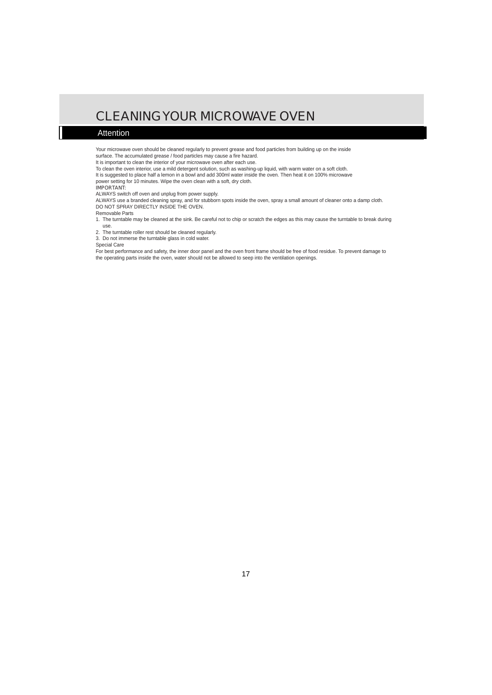## CLEANINGYOUR MICROWAVE OVEN

#### Attention

Your microwave oven should be cleaned regularly to prevent grease and food particles from building up on the inside surface. The accumulated grease / food particles may cause a fire hazard.

It is important to clean the interior of your microwave oven after each use.

To clean the oven interior, use a mild detergent solution, such as washing-up liquid, with warm water on a soft cloth.

It is suggested to place half a lemon in a bowl and add 300ml water inside the oven. Then heat it on 100% microwave

power setting for 10 minutes. Wipe the oven clean with a soft, dry cloth.

#### IMPORTANT:

ALWAYS switch off oven and unplug from power supply.

ALWAYS use a branded cleaning spray, and for stubborn spots inside the oven, spray a small amount of cleaner onto a damp cloth. DO NOT SPRAY DIRECTLY INSIDE THE OVEN.

#### Removable Parts

- 1. The turntable may be cleaned at the sink. Be careful not to chip or scratch the edges as this may cause the turntable to break during use.
- 2. The turntable roller rest should be cleaned regularly.
- 3. Do not immerse the turntable glass in cold water.

#### Special Care

For best performance and safety, the inner door panel and the oven front frame should be free of food residue. To prevent damage to the operating parts inside the oven, water should not be allowed to seep into the ventilation openings.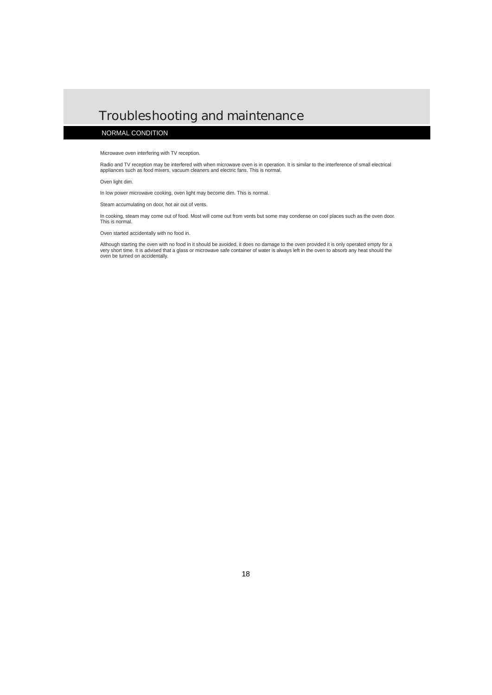### Troubleshooting and maintenance

#### NORMAL CONDITION

#### Microwave oven interfering with TV reception.

Radio and TV reception may be interfered with when microwave oven is in operation. It is similar to the interference of small electrical appliances such as food mixers, vacuum cleaners and electric fans. This is normal.

Oven light dim.

In low power microwave cooking, oven light may become dim. This is normal.

Steam accumulating on door, hot air out of vents.

In cooking, steam may come out of food. Most will come out from vents but some may condense on cool places such as the oven door. This is normal.

Oven started accidentally with no food in.

Although starting the oven with no food in it should be avoided, it does no damage to the oven provided it is only operated empty for a very short time. It is advised that a glass or microwave safe container of water is always left in the oven to absorb any heat should the oven be turned on accidentally.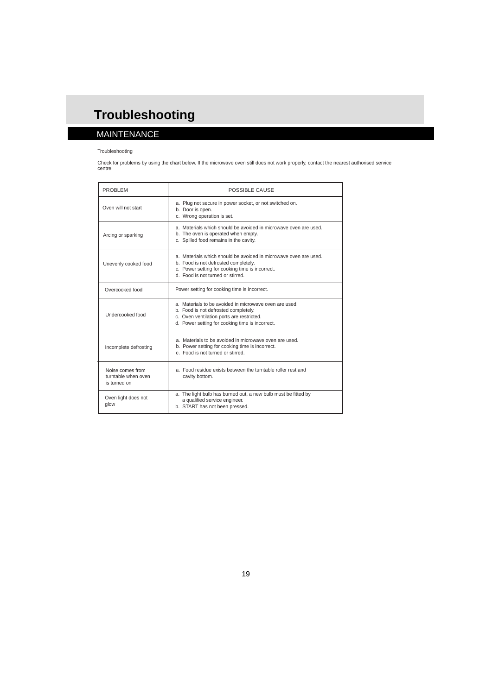### MAINTENANCE

#### Troubleshooting

Check for problems by using the chart below. If the microwave oven still does not work properly, contact the nearest authorised service<br>centre.

| <b>PROBLEM</b>                                          | POSSIBLE CAUSE                                                                                                                                                                                   |  |  |
|---------------------------------------------------------|--------------------------------------------------------------------------------------------------------------------------------------------------------------------------------------------------|--|--|
| Oven will not start                                     | a. Plug not secure in power socket, or not switched on.<br>b. Door is open.<br>c. Wrong operation is set.                                                                                        |  |  |
| Arcing or sparking                                      | a. Materials which should be avoided in microwave oven are used.<br>b. The oven is operated when empty.<br>c. Spilled food remains in the cavity.                                                |  |  |
| Unevenly cooked food                                    | a. Materials which should be avoided in microwave oven are used.<br>b. Food is not defrosted completely.<br>c. Power setting for cooking time is incorrect.<br>d. Food is not turned or stirred. |  |  |
| Overcooked food                                         | Power setting for cooking time is incorrect.                                                                                                                                                     |  |  |
| Undercooked food                                        | a. Materials to be avoided in microwave oven are used.<br>b. Food is not defrosted completely.<br>c. Oven ventilation ports are restricted.<br>d. Power setting for cooking time is incorrect.   |  |  |
| Incomplete defrosting                                   | a. Materials to be avoided in microwave oven are used.<br>b. Power setting for cooking time is incorrect.<br>c. Food is not turned or stirred.                                                   |  |  |
| Noise comes from<br>turntable when oven<br>is turned on | a. Food residue exists between the turntable roller rest and<br>cavity bottom.                                                                                                                   |  |  |
| Oven light does not<br>glow                             | a. The light bulb has burned out, a new bulb must be fitted by<br>a qualified service engineer.<br>b. START has not been pressed.                                                                |  |  |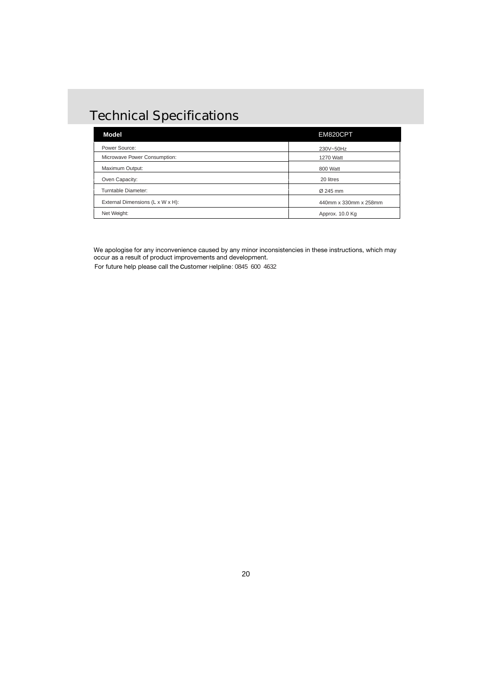## Technical Specifications

| <b>Model</b>                     | EM820CPT              |
|----------------------------------|-----------------------|
| Power Source:                    | 230V~50Hz             |
| Microwave Power Consumption:     | 1270 Watt             |
| Maximum Output:                  | 800 Watt              |
| Oven Capacity:                   | 20 litres             |
| Turntable Diameter:              | Ø 245 mm              |
| External Dimensions (L x W x H): | 440mm x 330mm x 258mm |
| Net Weight:                      | Approx. 10.0 Kg       |

We apologise for any inconvenience caused by any minor inconsistencies in these instructions, which may occur as a result of product improvements and development.

For future help please call the Customer Helpline: 0845 600 4632